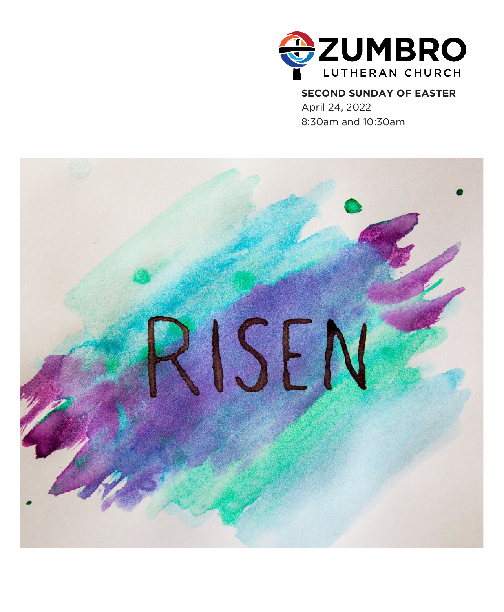

### **SECOND SUNDAY OF EASTER**

April 24, 2022 8:30am and 10:30am

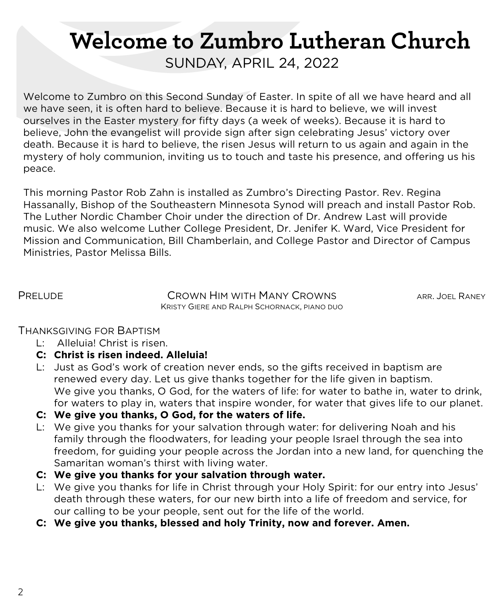# **Welcome to Zumbro Lutheran Church** SUNDAY, APRIL 24, 2022

Welcome to Zumbro on this Second Sunday of Easter. In spite of all we have heard and all we have seen, it is often hard to believe. Because it is hard to believe, we will invest ourselves in the Easter mystery for fifty days (a week of weeks). Because it is hard to believe, John the evangelist will provide sign after sign celebrating Jesus' victory over death. Because it is hard to believe, the risen Jesus will return to us again and again in the mystery of holy communion, inviting us to touch and taste his presence, and offering us his peace.

This morning Pastor Rob Zahn is installed as Zumbro's Directing Pastor. Rev. Regina Hassanally, Bishop of the Southeastern Minnesota Synod will preach and install Pastor Rob. The Luther Nordic Chamber Choir under the direction of Dr. Andrew Last will provide music. We also welcome Luther College President, Dr. Jenifer K. Ward, Vice President for Mission and Communication, Bill Chamberlain, and College Pastor and Director of Campus Ministries, Pastor Melissa Bills.

PRELUDE CROWN HIM WITH MANY CROWNS ARR. JOEL RANEY KRISTY GIERE AND RALPH SCHORNACK, PIANO DUO

THANKSGIVING FOR BAPTISM

- L: Alleluia! Christ is risen.
- **C: Christ is risen indeed. Alleluia!**
- L: Just as God's work of creation never ends, so the gifts received in baptism are renewed every day. Let us give thanks together for the life given in baptism. We give you thanks, O God, for the waters of life: for water to bathe in, water to drink, for waters to play in, waters that inspire wonder, for water that gives life to our planet.
- **C: We give you thanks, O God, for the waters of life.**
- L: We give you thanks for your salvation through water: for delivering Noah and his family through the floodwaters, for leading your people Israel through the sea into freedom, for guiding your people across the Jordan into a new land, for quenching the Samaritan woman's thirst with living water.
- **C: We give you thanks for your salvation through water.**
- L: We give you thanks for life in Christ through your Holy Spirit: for our entry into Jesus' death through these waters, for our new birth into a life of freedom and service, for our calling to be your people, sent out for the life of the world.
- **C: We give you thanks, blessed and holy Trinity, now and forever. Amen.**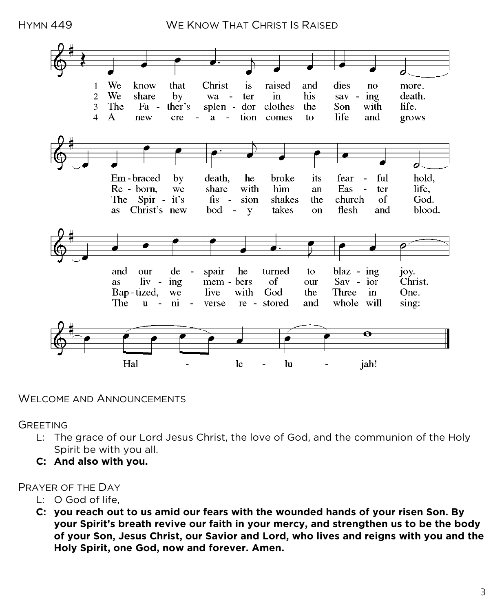HYMN 449 WE KNOW THAT CHRIST IS RAISED



WELCOME AND ANNOUNCEMENTS

GREETING

- L: The grace of our Lord Jesus Christ, the love of God, and the communion of the Holy Spirit be with you all.
- **C: And also with you.**

PRAYER OF THE DAY

- L: O God of life,
- **C: you reach out to us amid our fears with the wounded hands of your risen Son. By your Spirit's breath revive our faith in your mercy, and strengthen us to be the body of your Son, Jesus Christ, our Savior and Lord, who lives and reigns with you and the Holy Spirit, one God, now and forever. Amen.**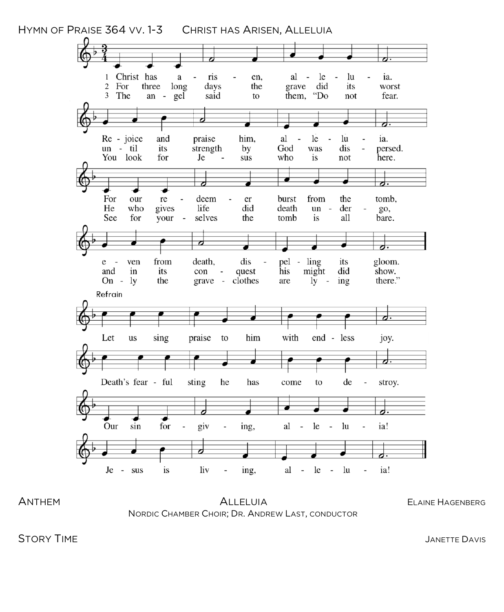HYMN OF PRAISE 364 VV. 1-3 CHRIST HAS ARISEN, ALLELUIA 1 Christ has lu ia.  $\rm{a}$ ris en,  $al - le -$ 2 For three long days the grave did its worst 3 The an -  $\text{gel}$ said them, "Do  $\mathbf{t}$ not fear. Re - joice him. and praise al le lu ia.  $un -$  til God its strength by was dis  $\overline{a}$ persed. You look for Je sus who is not here. ◢ 力. For our re deem er burst from the tomb. gives He who life did death  $un$ der go, See for your selves the tomb is all bare.  $\sim$ ರ  $e$ from pel - ling gloom. ven death, dis its and might did in its quest his show. con  $\overline{\phantom{a}}$ On -  $ly$ grave clothes  $1\bar{y}$   $ing$ there." the are Refrain <u>d.</u> Let **us** sing praise to him with end - less joy. d. Death's fear - ful sting he has come to de stroy. Our  $\sin$ for giv ing, al le lu ia!  $\overline{\phantom{a}}$ Ĭ.  $\overline{\phantom{a}}$  $\sim$ Ĭ. ₫ is liv al - le - lu ia! Je - sus ing, Ĭ.

ANTHEM ALLELUIA ELAINE HAGENBERG NORDIC CHAMBER CHOIR; DR. ANDREW LAST, CONDUCTOR

STORY TIME **STORY TIME**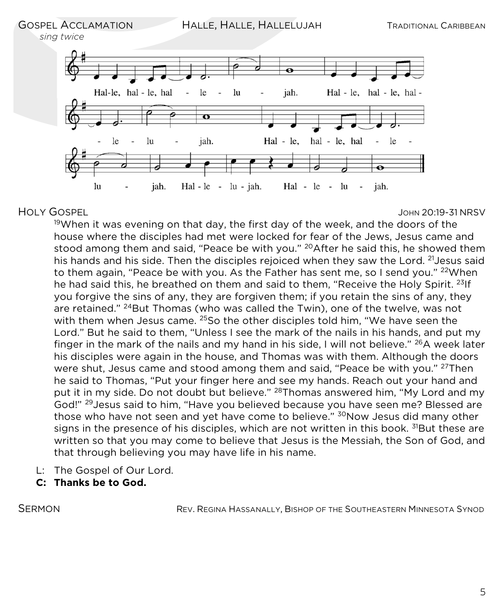

HOLY GOSPEL JOHN 20:19-31 NRSV

<sup>19</sup>When it was evening on that day, the first day of the week, and the doors of the house where the disciples had met were locked for fear of the Jews, Jesus came and stood among them and said, "Peace be with you."  $^{20}$ After he said this, he showed them his hands and his side. Then the disciples rejoiced when they saw the Lord. <sup>21</sup> Jesus said to them again, "Peace be with you. As the Father has sent me, so I send you." <sup>22</sup>When he had said this, he breathed on them and said to them, "Receive the Holy Spirit.<sup>23</sup>If you forgive the sins of any, they are forgiven them; if you retain the sins of any, they are retained." <sup>24</sup>But Thomas (who was called the Twin), one of the twelve, was not with them when Jesus came. <sup>25</sup>So the other disciples told him, "We have seen the Lord." But he said to them, "Unless I see the mark of the nails in his hands, and put my finger in the mark of the nails and my hand in his side, I will not believe."  $^{26}$ A week later his disciples were again in the house, and Thomas was with them. Although the doors were shut, Jesus came and stood among them and said, "Peace be with you." <sup>27</sup>Then he said to Thomas, "Put your finger here and see my hands. Reach out your hand and put it in my side. Do not doubt but believe." <sup>28</sup>Thomas answered him, "My Lord and my God!" 29Jesus said to him, "Have you believed because you have seen me? Blessed are those who have not seen and yet have come to believe." <sup>30</sup>Now Jesus did many other signs in the presence of his disciples, which are not written in this book.  $\frac{31}{1}$ But these are written so that you may come to believe that Jesus is the Messiah, the Son of God, and that through believing you may have life in his name.

- L: The Gospel of Our Lord.
- **C: Thanks be to God.**

Ì

SERMON **EXAMPTE REGINA HASSANALLY, BISHOP OF THE SOUTHEASTERN MINNESOTA SYNOD**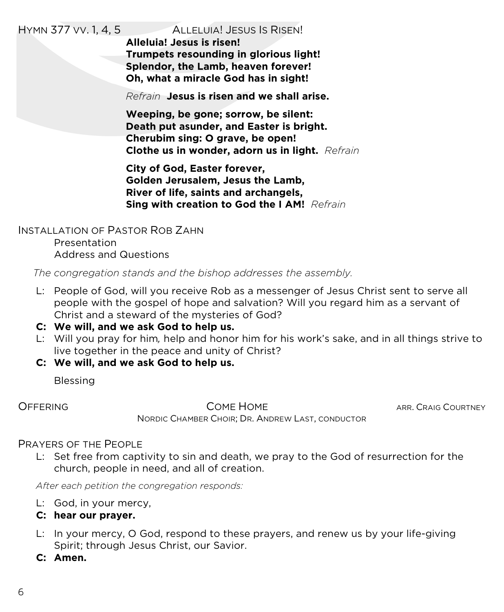#### HYMN 377 VV. 1, 4, 5 ALLELUIA! JESUS IS RISEN!

**Alleluia! Jesus is risen! Trumpets resounding in glorious light! Splendor, the Lamb, heaven forever! Oh, what a miracle God has in sight!**

*Refrain* **Jesus is risen and we shall arise.**

**Weeping, be gone; sorrow, be silent: Death put asunder, and Easter is bright. Cherubim sing: O grave, be open! Clothe us in wonder, adorn us in light.** *Refrain*

 **City of God, Easter forever, Golden Jerusalem, Jesus the Lamb, River of life, saints and archangels, Sing with creation to God the I AM!** *Refrain*

INSTALLATION OF PASTOR ROB ZAHN

Presentation Address and Questions

*The congregation stands and the bishop addresses the assembly.*

- L: People of God, will you receive Rob as a messenger of Jesus Christ sent to serve all people with the gospel of hope and salvation? Will you regard him as a servant of Christ and a steward of the mysteries of God?
- **C: We will, and we ask God to help us.**
- L: Will you pray for him*,* help and honor him for his work's sake, and in all things strive to live together in the peace and unity of Christ?
- **C: We will, and we ask God to help us.**

Blessing

OFFERING COME HOME ARR. CRAIG COURTNEY NORDIC CHAMBER CHOIR; DR. ANDREW LAST, CONDUCTOR

#### PRAYERS OF THE PEOPLE

L: Set free from captivity to sin and death, we pray to the God of resurrection for the church, people in need, and all of creation.

*After each petition the congregation responds:*

L: God, in your mercy,

#### **C: hear our prayer.**

- L: In your mercy, O God, respond to these prayers, and renew us by your life-giving Spirit; through Jesus Christ, our Savior.
- **C: Amen.**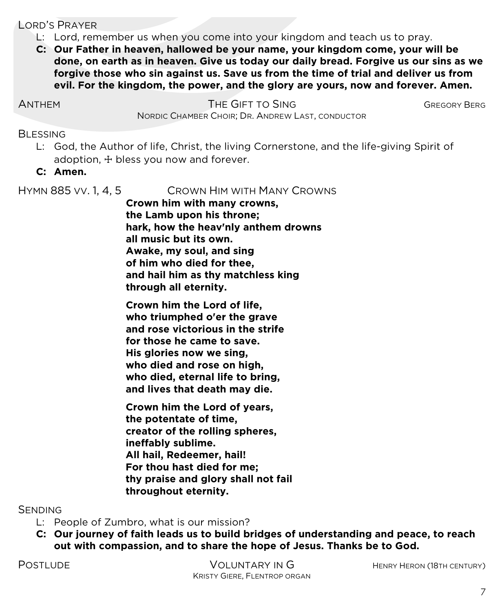#### LORD'S PRAYER

- L: Lord, remember us when you come into your kingdom and teach us to pray.
- **C: Our Father in heaven, hallowed be your name, your kingdom come, your will be done, on earth as in heaven. Give us today our daily bread. Forgive us our sins as we forgive those who sin against us. Save us from the time of trial and deliver us from evil. For the kingdom, the power, and the glory are yours, now and forever. Amen.**

ANTHEM THE GIFT TO SING GREGORY BERG NORDIC CHAMBER CHOIR; DR. ANDREW LAST, CONDUCTOR

#### **BLESSING**

- L: God, the Author of life, Christ, the living Cornerstone, and the life-giving Spirit of adoption,  $\pm$  bless you now and forever.
- **C: Amen.**

HYMN 885 VV. 1, 4, 5 CROWN HIM WITH MANY CROWNS

**Crown him with many crowns, the Lamb upon his throne; hark, how the heav'nly anthem drowns all music but its own. Awake, my soul, and sing of him who died for thee, and hail him as thy matchless king through all eternity.**

**Crown him the Lord of life, who triumphed o'er the grave and rose victorious in the strife for those he came to save. His glories now we sing, who died and rose on high, who died, eternal life to bring, and lives that death may die.**

**Crown him the Lord of years, the potentate of time, creator of the rolling spheres, ineffably sublime. All hail, Redeemer, hail! For thou hast died for me; thy praise and glory shall not fail throughout eternity.**

SENDING

- L: People of Zumbro, what is our mission?
- **C: Our journey of faith leads us to build bridges of understanding and peace, to reach out with compassion, and to share the hope of Jesus. Thanks be to God.**